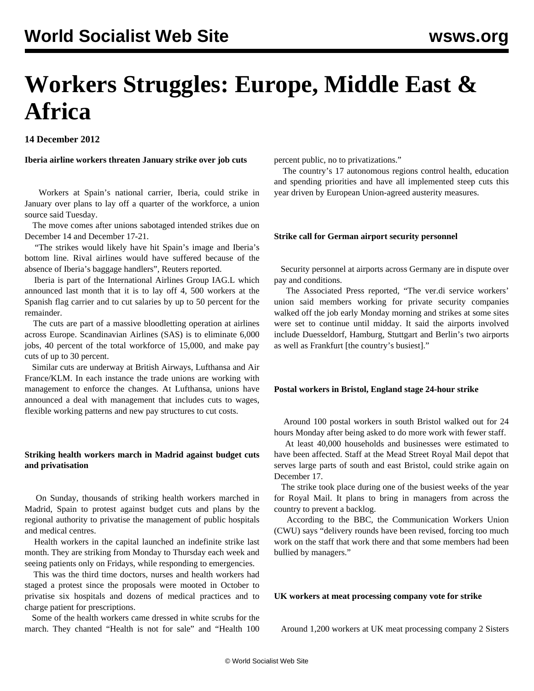# **Workers Struggles: Europe, Middle East & Africa**

**14 December 2012**

**Iberia airline workers threaten January strike over job cuts**

 Workers at Spain's national carrier, Iberia, could strike in January over plans to lay off a quarter of the workforce, a union source said Tuesday.

 The move comes after unions sabotaged intended strikes due on December 14 and December 17-21.

 "The strikes would likely have hit Spain's image and Iberia's bottom line. Rival airlines would have suffered because of the absence of Iberia's baggage handlers", Reuters reported.

 Iberia is part of the International Airlines Group IAG.L which announced last month that it is to lay off 4, 500 workers at the Spanish flag carrier and to cut salaries by up to 50 percent for the remainder.

 The cuts are part of a massive bloodletting operation at airlines across Europe. Scandinavian Airlines (SAS) is to eliminate 6,000 jobs, 40 percent of the total workforce of 15,000, and make pay cuts of up to 30 percent.

 Similar cuts are underway at British Airways, Lufthansa and Air France/KLM. In each instance the trade unions are working with management to enforce the changes. At Lufthansa, unions have announced a deal with management that includes cuts to wages, flexible working patterns and new pay structures to cut costs.

# **Striking health workers march in Madrid against budget cuts and privatisation**

 On Sunday, thousands of striking health workers marched in Madrid, Spain to protest against budget cuts and plans by the regional authority to privatise the management of public hospitals and medical centres.

 Health workers in the capital launched an indefinite strike last month. They are striking from Monday to Thursday each week and seeing patients only on Fridays, while responding to emergencies.

 This was the third time doctors, nurses and health workers had staged a protest since the proposals were mooted in October to privatise six hospitals and dozens of medical practices and to charge patient for prescriptions.

 Some of the health workers came dressed in white scrubs for the march. They chanted "Health is not for sale" and "Health 100 percent public, no to privatizations."

 The country's 17 autonomous regions control health, education and spending priorities and have all implemented steep cuts this year driven by European Union-agreed austerity measures.

# **Strike call for German airport security personnel**

 Security personnel at airports across Germany are in dispute over pay and conditions.

 The Associated Press reported, "The ver.di service workers' union said members working for private security companies walked off the job early Monday morning and strikes at some sites were set to continue until midday. It said the airports involved include Duesseldorf, Hamburg, Stuttgart and Berlin's two airports as well as Frankfurt [the country's busiest]."

# **Postal workers in Bristol, England stage 24-hour strike**

 Around 100 postal workers in south Bristol walked out for 24 hours Monday after being asked to do more work with fewer staff.

 At least 40,000 households and businesses were estimated to have been affected. Staff at the Mead Street Royal Mail depot that serves large parts of south and east Bristol, could strike again on December 17.

 The strike took place during one of the busiest weeks of the year for Royal Mail. It plans to bring in managers from across the country to prevent a backlog.

 According to the BBC, the Communication Workers Union (CWU) says "delivery rounds have been revised, forcing too much work on the staff that work there and that some members had been bullied by managers."

# **UK workers at meat processing company vote for strike**

Around 1,200 workers at UK meat processing company 2 Sisters